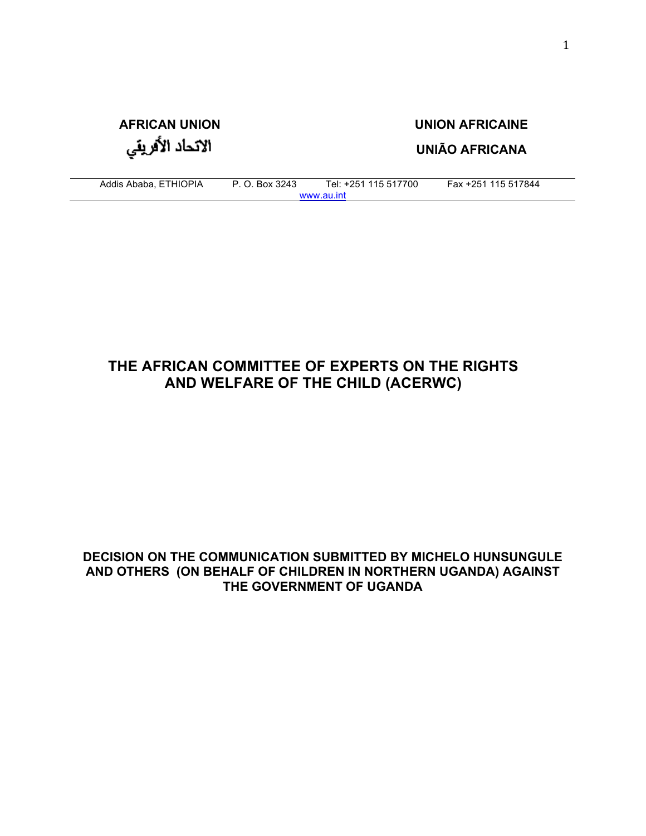# **AFRICAN UNION UNION AFRICAINE** الاتحاد الأفريقي

**UNIÃO AFRICANA**

Addis Ababa, ETHIOPIA P. O. Box 3243 Tel: +251 115 517700 Fax +251 115 517844 www.au.int

## **THE AFRICAN COMMITTEE OF EXPERTS ON THE RIGHTS AND WELFARE OF THE CHILD (ACERWC)**

#### **DECISION ON THE COMMUNICATION SUBMITTED BY MICHELO HUNSUNGULE AND OTHERS (ON BEHALF OF CHILDREN IN NORTHERN UGANDA) AGAINST THE GOVERNMENT OF UGANDA**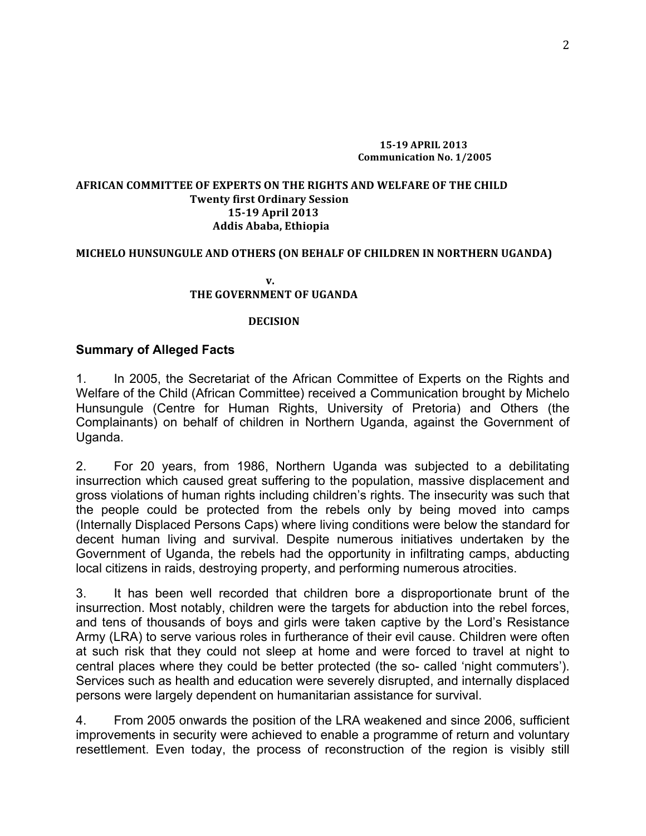#### **15-19 APRIL 2013 Communication No. 1/2005**

#### AFRICAN COMMITTEE OF EXPERTS ON THE RIGHTS AND WELFARE OF THE CHILD **Twenty first Ordinary Session 15-19 April 2013 Addis Ababa, Ethiopia**

#### **MICHELO HUNSUNGULE AND OTHERS (ON BEHALF OF CHILDREN IN NORTHERN UGANDA)**

**v**. **THE GOVERNMENT OF UGANDA** 

#### **DECISION**

#### **Summary of Alleged Facts**

1. In 2005, the Secretariat of the African Committee of Experts on the Rights and Welfare of the Child (African Committee) received a Communication brought by Michelo Hunsungule (Centre for Human Rights, University of Pretoria) and Others (the Complainants) on behalf of children in Northern Uganda, against the Government of Uganda.

2. For 20 years, from 1986, Northern Uganda was subjected to a debilitating insurrection which caused great suffering to the population, massive displacement and gross violations of human rights including children's rights. The insecurity was such that the people could be protected from the rebels only by being moved into camps (Internally Displaced Persons Caps) where living conditions were below the standard for decent human living and survival. Despite numerous initiatives undertaken by the Government of Uganda, the rebels had the opportunity in infiltrating camps, abducting local citizens in raids, destroying property, and performing numerous atrocities.

3. It has been well recorded that children bore a disproportionate brunt of the insurrection. Most notably, children were the targets for abduction into the rebel forces, and tens of thousands of boys and girls were taken captive by the Lord's Resistance Army (LRA) to serve various roles in furtherance of their evil cause. Children were often at such risk that they could not sleep at home and were forced to travel at night to central places where they could be better protected (the so- called 'night commuters'). Services such as health and education were severely disrupted, and internally displaced persons were largely dependent on humanitarian assistance for survival.

4. From 2005 onwards the position of the LRA weakened and since 2006, sufficient improvements in security were achieved to enable a programme of return and voluntary resettlement. Even today, the process of reconstruction of the region is visibly still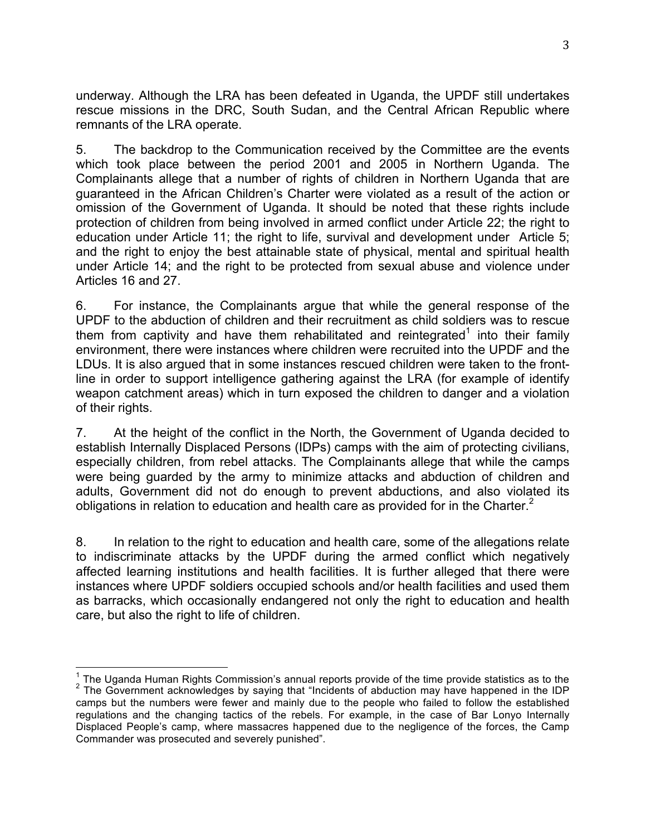underway. Although the LRA has been defeated in Uganda, the UPDF still undertakes rescue missions in the DRC, South Sudan, and the Central African Republic where remnants of the LRA operate.

5. The backdrop to the Communication received by the Committee are the events which took place between the period 2001 and 2005 in Northern Uganda. The Complainants allege that a number of rights of children in Northern Uganda that are guaranteed in the African Children's Charter were violated as a result of the action or omission of the Government of Uganda. It should be noted that these rights include protection of children from being involved in armed conflict under Article 22; the right to education under Article 11; the right to life, survival and development under Article 5; and the right to enjoy the best attainable state of physical, mental and spiritual health under Article 14; and the right to be protected from sexual abuse and violence under Articles 16 and 27.

6. For instance, the Complainants argue that while the general response of the UPDF to the abduction of children and their recruitment as child soldiers was to rescue them from captivity and have them rehabilitated and reintegrated<sup>1</sup> into their family environment, there were instances where children were recruited into the UPDF and the LDUs. It is also argued that in some instances rescued children were taken to the frontline in order to support intelligence gathering against the LRA (for example of identify weapon catchment areas) which in turn exposed the children to danger and a violation of their rights.

7. At the height of the conflict in the North, the Government of Uganda decided to establish Internally Displaced Persons (IDPs) camps with the aim of protecting civilians, especially children, from rebel attacks. The Complainants allege that while the camps were being guarded by the army to minimize attacks and abduction of children and adults, Government did not do enough to prevent abductions, and also violated its obligations in relation to education and health care as provided for in the Charter. $2$ 

8. In relation to the right to education and health care, some of the allegations relate to indiscriminate attacks by the UPDF during the armed conflict which negatively affected learning institutions and health facilities. It is further alleged that there were instances where UPDF soldiers occupied schools and/or health facilities and used them as barracks, which occasionally endangered not only the right to education and health care, but also the right to life of children.

<sup>&</sup>lt;sup>1</sup> The Uganda Human Rights Commission's annual reports provide of the time provide statistics as to the  $2$  The Government acknowledges by saying that "Incidents of abduction may have happened in the IDP camps but the numbers were fewer and mainly due to the people who failed to follow the established regulations and the changing tactics of the rebels. For example, in the case of Bar Lonyo Internally Displaced People's camp, where massacres happened due to the negligence of the forces, the Camp Commander was prosecuted and severely punished".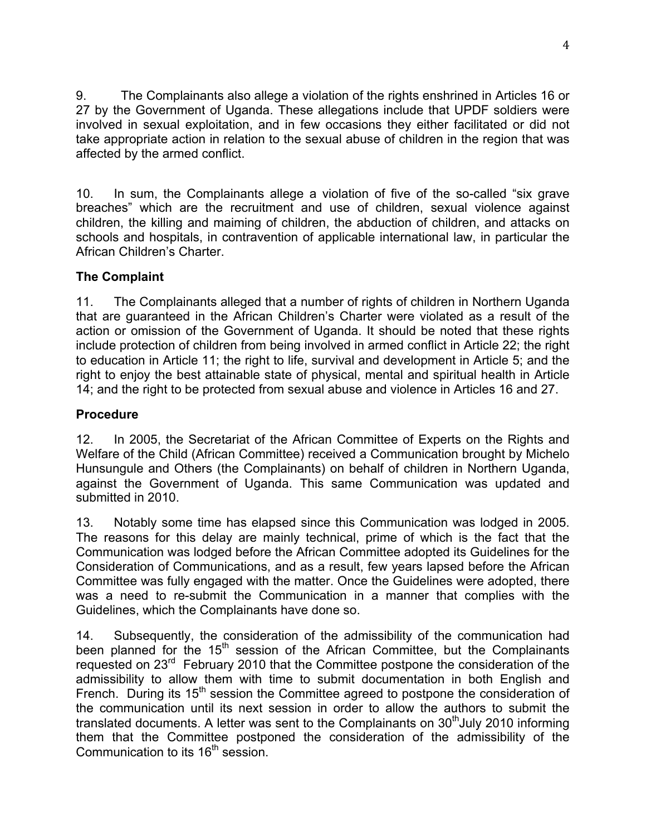9. The Complainants also allege a violation of the rights enshrined in Articles 16 or 27 by the Government of Uganda. These allegations include that UPDF soldiers were involved in sexual exploitation, and in few occasions they either facilitated or did not take appropriate action in relation to the sexual abuse of children in the region that was affected by the armed conflict.

10. In sum, the Complainants allege a violation of five of the so-called "six grave breaches" which are the recruitment and use of children, sexual violence against children, the killing and maiming of children, the abduction of children, and attacks on schools and hospitals, in contravention of applicable international law, in particular the African Children's Charter.

## **The Complaint**

11. The Complainants alleged that a number of rights of children in Northern Uganda that are guaranteed in the African Children's Charter were violated as a result of the action or omission of the Government of Uganda. It should be noted that these rights include protection of children from being involved in armed conflict in Article 22; the right to education in Article 11; the right to life, survival and development in Article 5; and the right to enjoy the best attainable state of physical, mental and spiritual health in Article 14; and the right to be protected from sexual abuse and violence in Articles 16 and 27.

## **Procedure**

12. In 2005, the Secretariat of the African Committee of Experts on the Rights and Welfare of the Child (African Committee) received a Communication brought by Michelo Hunsungule and Others (the Complainants) on behalf of children in Northern Uganda, against the Government of Uganda. This same Communication was updated and submitted in 2010.

13. Notably some time has elapsed since this Communication was lodged in 2005. The reasons for this delay are mainly technical, prime of which is the fact that the Communication was lodged before the African Committee adopted its Guidelines for the Consideration of Communications, and as a result, few years lapsed before the African Committee was fully engaged with the matter. Once the Guidelines were adopted, there was a need to re-submit the Communication in a manner that complies with the Guidelines, which the Complainants have done so.

14. Subsequently, the consideration of the admissibility of the communication had been planned for the  $15<sup>th</sup>$  session of the African Committee, but the Complainants requested on 23<sup>rd</sup> February 2010 that the Committee postpone the consideration of the admissibility to allow them with time to submit documentation in both English and French. During its 15<sup>th</sup> session the Committee agreed to postpone the consideration of the communication until its next session in order to allow the authors to submit the translated documents. A letter was sent to the Complainants on  $30<sup>th</sup>$ July 2010 informing them that the Committee postponed the consideration of the admissibility of the Communication to its 16<sup>th</sup> session.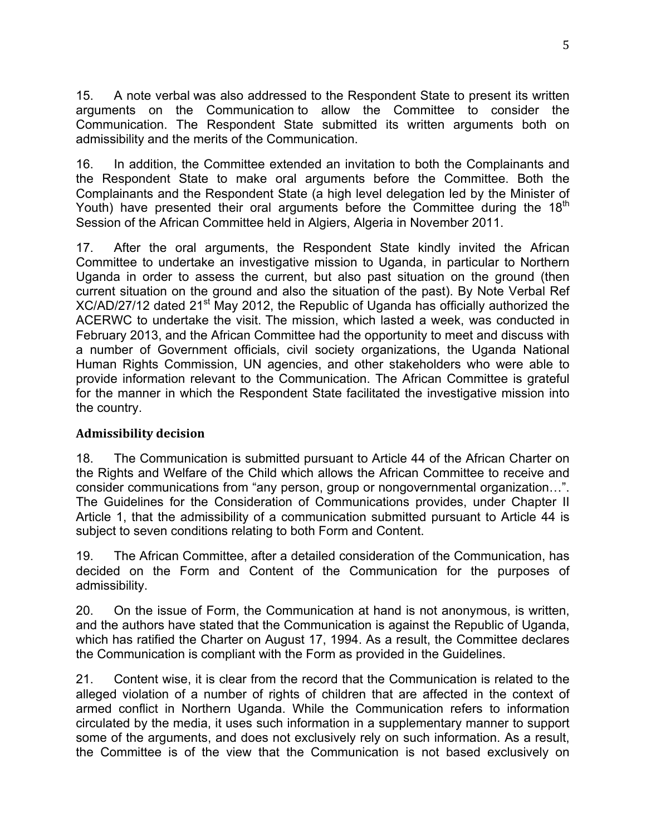15. A note verbal was also addressed to the Respondent State to present its written arguments on the Communication to allow the Committee to consider the Communication. The Respondent State submitted its written arguments both on admissibility and the merits of the Communication.

16. In addition, the Committee extended an invitation to both the Complainants and the Respondent State to make oral arguments before the Committee. Both the Complainants and the Respondent State (a high level delegation led by the Minister of Youth) have presented their oral arguments before the Committee during the  $18<sup>th</sup>$ Session of the African Committee held in Algiers, Algeria in November 2011.

17. After the oral arguments, the Respondent State kindly invited the African Committee to undertake an investigative mission to Uganda, in particular to Northern Uganda in order to assess the current, but also past situation on the ground (then current situation on the ground and also the situation of the past). By Note Verbal Ref XC/AD/27/12 dated 21<sup>st</sup> May 2012, the Republic of Uganda has officially authorized the ACERWC to undertake the visit. The mission, which lasted a week, was conducted in February 2013, and the African Committee had the opportunity to meet and discuss with a number of Government officials, civil society organizations, the Uganda National Human Rights Commission, UN agencies, and other stakeholders who were able to provide information relevant to the Communication. The African Committee is grateful for the manner in which the Respondent State facilitated the investigative mission into the country.

#### **Admissibility decision**

18. The Communication is submitted pursuant to Article 44 of the African Charter on the Rights and Welfare of the Child which allows the African Committee to receive and consider communications from "any person, group or nongovernmental organization…". The Guidelines for the Consideration of Communications provides, under Chapter II Article 1, that the admissibility of a communication submitted pursuant to Article 44 is subject to seven conditions relating to both Form and Content.

19. The African Committee, after a detailed consideration of the Communication, has decided on the Form and Content of the Communication for the purposes of admissibility.

20. On the issue of Form, the Communication at hand is not anonymous, is written, and the authors have stated that the Communication is against the Republic of Uganda, which has ratified the Charter on August 17, 1994. As a result, the Committee declares the Communication is compliant with the Form as provided in the Guidelines.

21. Content wise, it is clear from the record that the Communication is related to the alleged violation of a number of rights of children that are affected in the context of armed conflict in Northern Uganda. While the Communication refers to information circulated by the media, it uses such information in a supplementary manner to support some of the arguments, and does not exclusively rely on such information. As a result, the Committee is of the view that the Communication is not based exclusively on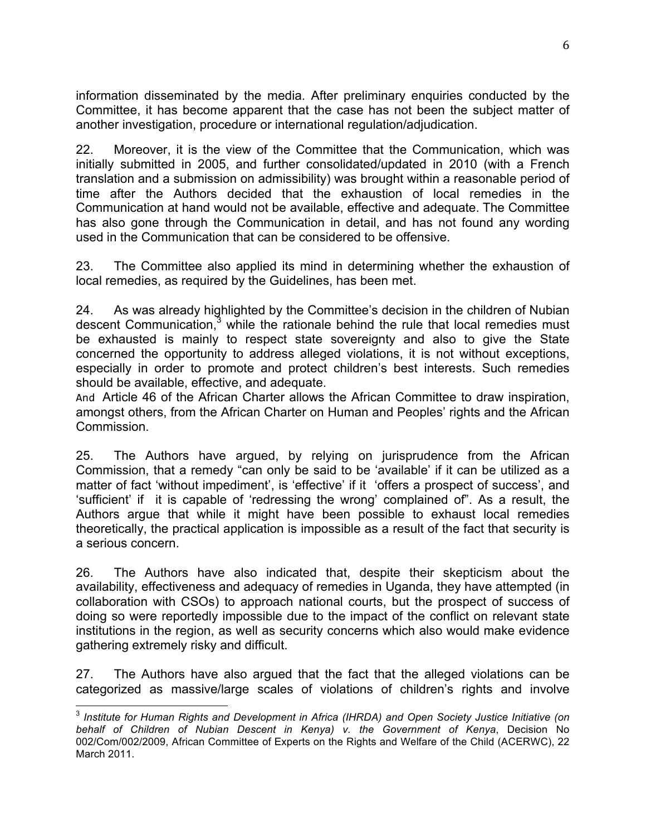information disseminated by the media. After preliminary enquiries conducted by the Committee, it has become apparent that the case has not been the subject matter of another investigation, procedure or international regulation/adjudication.

22. Moreover, it is the view of the Committee that the Communication, which was initially submitted in 2005, and further consolidated/updated in 2010 (with a French translation and a submission on admissibility) was brought within a reasonable period of time after the Authors decided that the exhaustion of local remedies in the Communication at hand would not be available, effective and adequate. The Committee has also gone through the Communication in detail, and has not found any wording used in the Communication that can be considered to be offensive.

23. The Committee also applied its mind in determining whether the exhaustion of local remedies, as required by the Guidelines, has been met.

24. As was already highlighted by the Committee's decision in the children of Nubian descent Communication, $3$  while the rationale behind the rule that local remedies must be exhausted is mainly to respect state sovereignty and also to give the State concerned the opportunity to address alleged violations, it is not without exceptions, especially in order to promote and protect children's best interests. Such remedies should be available, effective, and adequate.

And Article 46 of the African Charter allows the African Committee to draw inspiration, amongst others, from the African Charter on Human and Peoples' rights and the African Commission.

25. The Authors have argued, by relying on jurisprudence from the African Commission, that a remedy "can only be said to be 'available' if it can be utilized as a matter of fact 'without impediment', is 'effective' if it 'offers a prospect of success', and 'sufficient' if it is capable of 'redressing the wrong' complained of". As a result, the Authors argue that while it might have been possible to exhaust local remedies theoretically, the practical application is impossible as a result of the fact that security is a serious concern.

26. The Authors have also indicated that, despite their skepticism about the availability, effectiveness and adequacy of remedies in Uganda, they have attempted (in collaboration with CSOs) to approach national courts, but the prospect of success of doing so were reportedly impossible due to the impact of the conflict on relevant state institutions in the region, as well as security concerns which also would make evidence gathering extremely risky and difficult.

27. The Authors have also argued that the fact that the alleged violations can be categorized as massive/large scales of violations of children's rights and involve

 <sup>3</sup> *Institute for Human Rights and Development in Africa (IHRDA) and Open Society Justice Initiative (on behalf of Children of Nubian Descent in Kenya) v. the Government of Kenya*, Decision No 002/Com/002/2009, African Committee of Experts on the Rights and Welfare of the Child (ACERWC), 22 March 2011.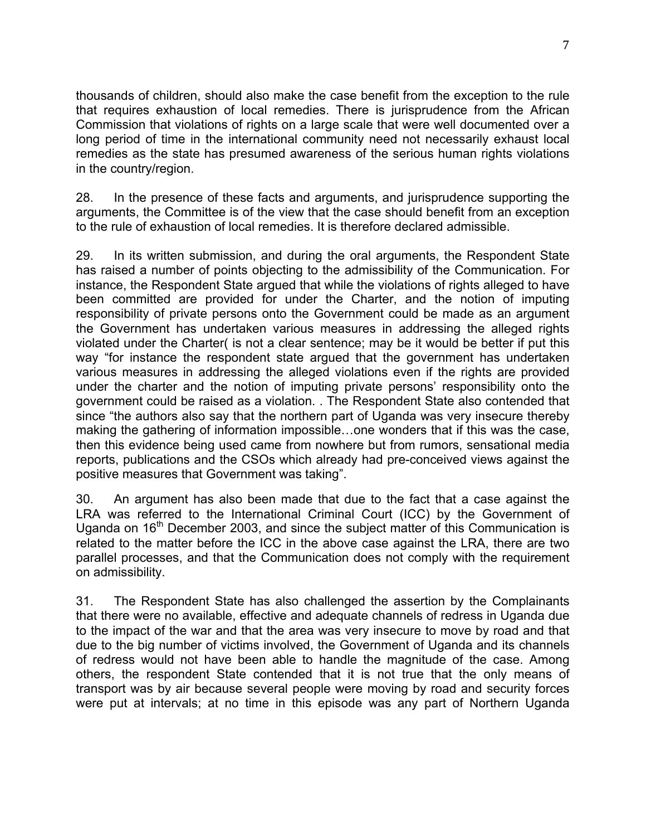thousands of children, should also make the case benefit from the exception to the rule that requires exhaustion of local remedies. There is jurisprudence from the African Commission that violations of rights on a large scale that were well documented over a long period of time in the international community need not necessarily exhaust local remedies as the state has presumed awareness of the serious human rights violations in the country/region.

28. In the presence of these facts and arguments, and jurisprudence supporting the arguments, the Committee is of the view that the case should benefit from an exception to the rule of exhaustion of local remedies. It is therefore declared admissible.

29. In its written submission, and during the oral arguments, the Respondent State has raised a number of points objecting to the admissibility of the Communication. For instance, the Respondent State argued that while the violations of rights alleged to have been committed are provided for under the Charter, and the notion of imputing responsibility of private persons onto the Government could be made as an argument the Government has undertaken various measures in addressing the alleged rights violated under the Charter( is not a clear sentence; may be it would be better if put this way "for instance the respondent state argued that the government has undertaken various measures in addressing the alleged violations even if the rights are provided under the charter and the notion of imputing private persons' responsibility onto the government could be raised as a violation. . The Respondent State also contended that since "the authors also say that the northern part of Uganda was very insecure thereby making the gathering of information impossible…one wonders that if this was the case, then this evidence being used came from nowhere but from rumors, sensational media reports, publications and the CSOs which already had pre-conceived views against the positive measures that Government was taking".

30. An argument has also been made that due to the fact that a case against the LRA was referred to the International Criminal Court (ICC) by the Government of Uganda on  $16<sup>th</sup>$  December 2003, and since the subject matter of this Communication is related to the matter before the ICC in the above case against the LRA, there are two parallel processes, and that the Communication does not comply with the requirement on admissibility.

31. The Respondent State has also challenged the assertion by the Complainants that there were no available, effective and adequate channels of redress in Uganda due to the impact of the war and that the area was very insecure to move by road and that due to the big number of victims involved, the Government of Uganda and its channels of redress would not have been able to handle the magnitude of the case. Among others, the respondent State contended that it is not true that the only means of transport was by air because several people were moving by road and security forces were put at intervals; at no time in this episode was any part of Northern Uganda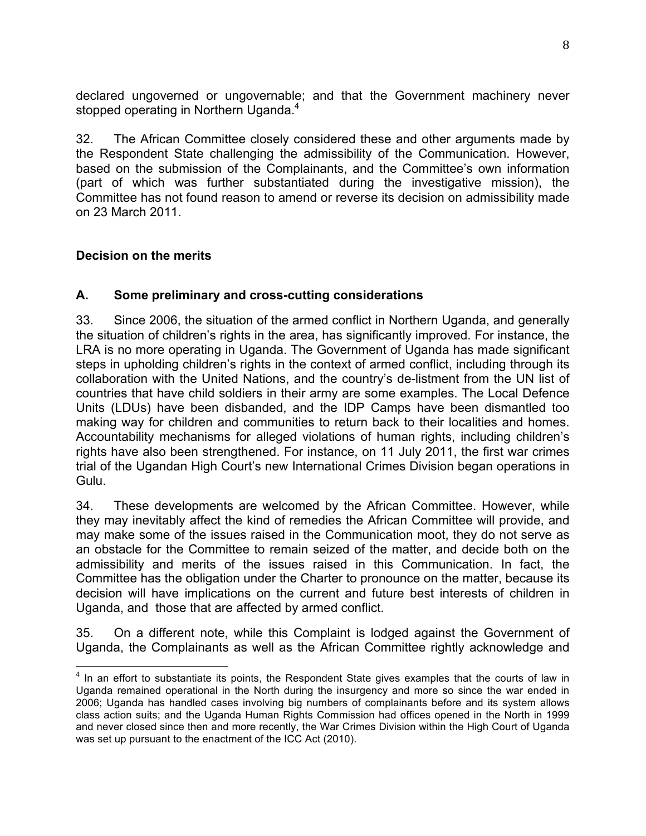declared ungoverned or ungovernable; and that the Government machinery never stopped operating in Northern Uganda.<sup>4</sup>

32. The African Committee closely considered these and other arguments made by the Respondent State challenging the admissibility of the Communication. However, based on the submission of the Complainants, and the Committee's own information (part of which was further substantiated during the investigative mission), the Committee has not found reason to amend or reverse its decision on admissibility made on 23 March 2011.

## **Decision on the merits**

## **A. Some preliminary and cross-cutting considerations**

33. Since 2006, the situation of the armed conflict in Northern Uganda, and generally the situation of children's rights in the area, has significantly improved. For instance, the LRA is no more operating in Uganda. The Government of Uganda has made significant steps in upholding children's rights in the context of armed conflict, including through its collaboration with the United Nations, and the country's de-listment from the UN list of countries that have child soldiers in their army are some examples. The Local Defence Units (LDUs) have been disbanded, and the IDP Camps have been dismantled too making way for children and communities to return back to their localities and homes. Accountability mechanisms for alleged violations of human rights, including children's rights have also been strengthened. For instance, on 11 July 2011, the first war crimes trial of the Ugandan High Court's new International Crimes Division began operations in Gulu.

34. These developments are welcomed by the African Committee. However, while they may inevitably affect the kind of remedies the African Committee will provide, and may make some of the issues raised in the Communication moot, they do not serve as an obstacle for the Committee to remain seized of the matter, and decide both on the admissibility and merits of the issues raised in this Communication. In fact, the Committee has the obligation under the Charter to pronounce on the matter, because its decision will have implications on the current and future best interests of children in Uganda, and those that are affected by armed conflict.

35. On a different note, while this Complaint is lodged against the Government of Uganda, the Complainants as well as the African Committee rightly acknowledge and

<sup>&</sup>lt;sup>4</sup> In an effort to substantiate its points, the Respondent State gives examples that the courts of law in Uganda remained operational in the North during the insurgency and more so since the war ended in 2006; Uganda has handled cases involving big numbers of complainants before and its system allows class action suits; and the Uganda Human Rights Commission had offices opened in the North in 1999 and never closed since then and more recently, the War Crimes Division within the High Court of Uganda was set up pursuant to the enactment of the ICC Act (2010).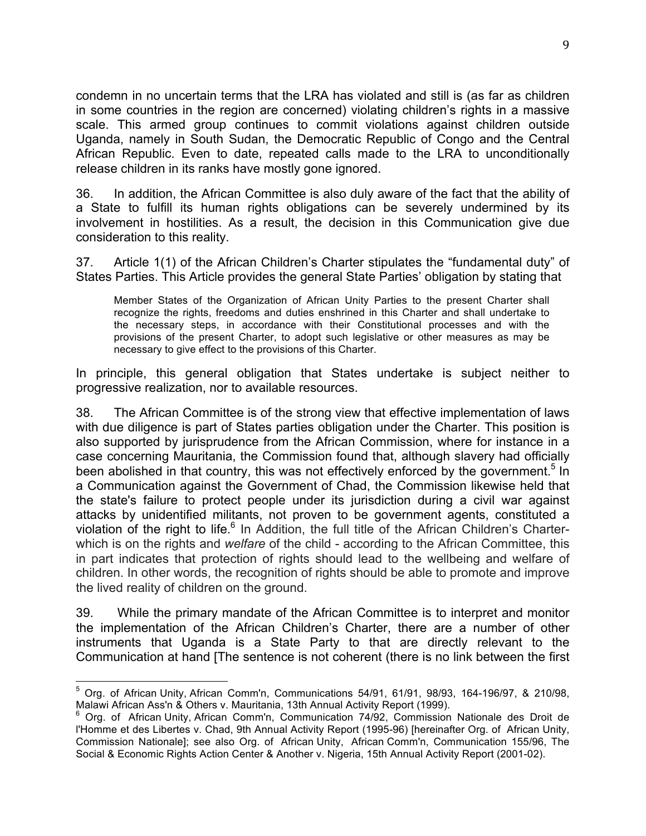condemn in no uncertain terms that the LRA has violated and still is (as far as children in some countries in the region are concerned) violating children's rights in a massive scale. This armed group continues to commit violations against children outside Uganda, namely in South Sudan, the Democratic Republic of Congo and the Central African Republic. Even to date, repeated calls made to the LRA to unconditionally release children in its ranks have mostly gone ignored.

36. In addition, the African Committee is also duly aware of the fact that the ability of a State to fulfill its human rights obligations can be severely undermined by its involvement in hostilities. As a result, the decision in this Communication give due consideration to this reality.

37. Article 1(1) of the African Children's Charter stipulates the "fundamental duty" of States Parties. This Article provides the general State Parties' obligation by stating that

Member States of the Organization of African Unity Parties to the present Charter shall recognize the rights, freedoms and duties enshrined in this Charter and shall undertake to the necessary steps, in accordance with their Constitutional processes and with the provisions of the present Charter, to adopt such legislative or other measures as may be necessary to give effect to the provisions of this Charter.

In principle, this general obligation that States undertake is subject neither to progressive realization, nor to available resources.

38. The African Committee is of the strong view that effective implementation of laws with due diligence is part of States parties obligation under the Charter. This position is also supported by jurisprudence from the African Commission, where for instance in a case concerning Mauritania, the Commission found that, although slavery had officially been abolished in that country, this was not effectively enforced by the government.<sup>5</sup> In a Communication against the Government of Chad, the Commission likewise held that the state's failure to protect people under its jurisdiction during a civil war against attacks by unidentified militants, not proven to be government agents, constituted a violation of the right to life.<sup>6</sup> In Addition, the full title of the African Children's Charterwhich is on the rights and *welfare* of the child - according to the African Committee, this in part indicates that protection of rights should lead to the wellbeing and welfare of children. In other words, the recognition of rights should be able to promote and improve the lived reality of children on the ground.

39. While the primary mandate of the African Committee is to interpret and monitor the implementation of the African Children's Charter, there are a number of other instruments that Uganda is a State Party to that are directly relevant to the Communication at hand [The sentence is not coherent (there is no link between the first

 $5$  Org. of African Unity, African Comm'n, Communications 54/91, 61/91, 98/93, 164-196/97, & 210/98, Malawi African Ass'n & Others v. Mauritania, 13th Annual Activity Report (1999).<br><sup>6</sup> Org. of African Unity, African Comm'n, Communication 74/92, Commission Nationale des Droit de

l'Homme et des Libertes v. Chad, 9th Annual Activity Report (1995-96) [hereinafter Org. of African Unity, Commission Nationale]; see also Org. of African Unity, African Comm'n, Communication 155/96, The Social & Economic Rights Action Center & Another v. Nigeria, 15th Annual Activity Report (2001-02).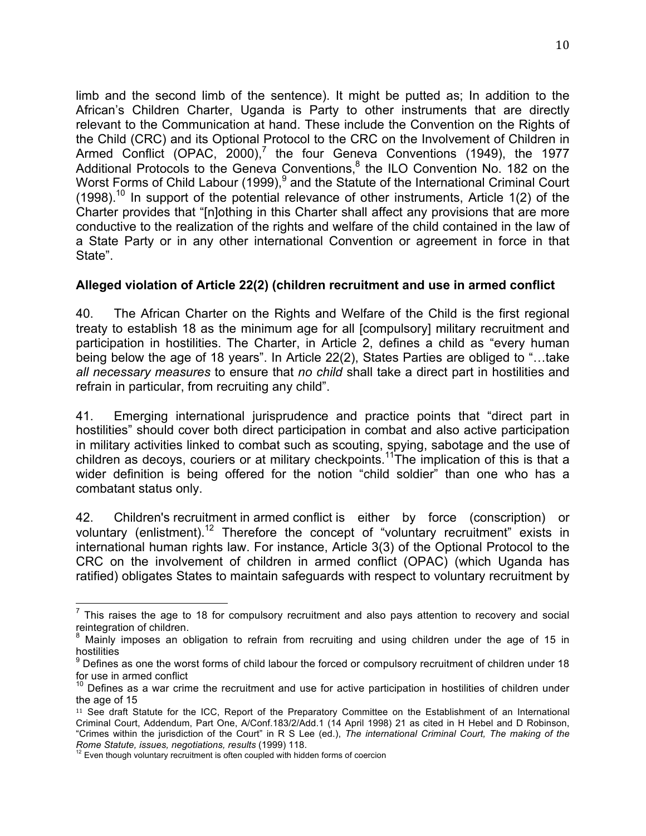limb and the second limb of the sentence). It might be putted as; In addition to the African's Children Charter, Uganda is Party to other instruments that are directly relevant to the Communication at hand. These include the Convention on the Rights of the Child (CRC) and its Optional Protocol to the CRC on the Involvement of Children in Armed Conflict (OPAC,  $2000$ ),<sup>7</sup> the four Geneva Conventions (1949), the 1977 Additional Protocols to the Geneva Conventions, $8$  the ILO Convention No. 182 on the Worst Forms of Child Labour (1999),<sup>9</sup> and the Statute of the International Criminal Court  $(1998)$ <sup>10</sup> In support of the potential relevance of other instruments, Article 1(2) of the Charter provides that "[n]othing in this Charter shall affect any provisions that are more conductive to the realization of the rights and welfare of the child contained in the law of a State Party or in any other international Convention or agreement in force in that State".

#### **Alleged violation of Article 22(2) (children recruitment and use in armed conflict**

40. The African Charter on the Rights and Welfare of the Child is the first regional treaty to establish 18 as the minimum age for all [compulsory] military recruitment and participation in hostilities. The Charter, in Article 2, defines a child as "every human being below the age of 18 years". In Article 22(2), States Parties are obliged to "…take *all necessary measures* to ensure that *no child* shall take a direct part in hostilities and refrain in particular, from recruiting any child".

41. Emerging international jurisprudence and practice points that "direct part in hostilities" should cover both direct participation in combat and also active participation in military activities linked to combat such as scouting, spying, sabotage and the use of children as decoys, couriers or at military checkpoints.<sup>11</sup>The implication of this is that a wider definition is being offered for the notion "child soldier" than one who has a combatant status only.

42. Children's recruitment in armed conflict is either by force (conscription) or voluntary (enlistment).<sup>12</sup> Therefore the concept of "voluntary recruitment" exists in international human rights law. For instance, Article 3(3) of the Optional Protocol to the CRC on the involvement of children in armed conflict (OPAC) (which Uganda has ratified) obligates States to maintain safeguards with respect to voluntary recruitment by

 $<sup>7</sup>$  This raises the age to 18 for compulsory recruitment and also pays attention to recovery and social</sup> reintegration of children.<br><sup>8</sup> Mainly imposes an obligation to refrain from recruiting and using children under the age of 15 in

hostilities

 $9$  Defines as one the worst forms of child labour the forced or compulsory recruitment of children under 18 for use in armed conflict

 $10$  Defines as a war crime the recruitment and use for active participation in hostilities of children under the age of 15

<sup>11</sup> See draft Statute for the ICC, Report of the Preparatory Committee on the Establishment of an International Criminal Court, Addendum, Part One, A/Conf.183/2/Add.1 (14 April 1998) 21 as cited in H Hebel and D Robinson, "Crimes within the jurisdiction of the Court" in R S Lee (ed.), *The international Criminal Court, The making of the* 

*Rome Statute, issues, negotiations, results* (1999) 118. <sup>12</sup> Even though voluntary recruitment is often coupled with hidden forms of coercion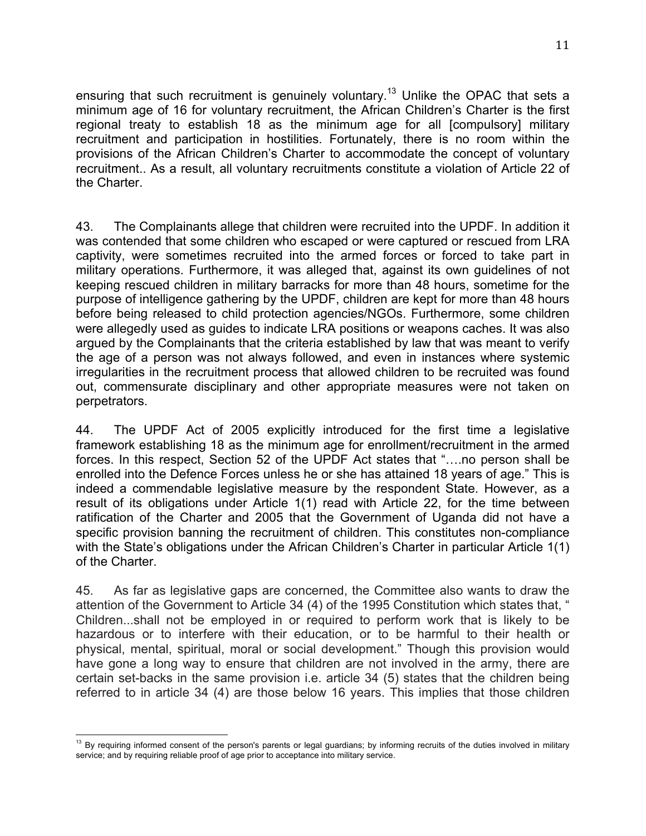ensuring that such recruitment is genuinely voluntary.<sup>13</sup> Unlike the OPAC that sets a minimum age of 16 for voluntary recruitment, the African Children's Charter is the first regional treaty to establish 18 as the minimum age for all [compulsory] military recruitment and participation in hostilities. Fortunately, there is no room within the provisions of the African Children's Charter to accommodate the concept of voluntary recruitment.. As a result, all voluntary recruitments constitute a violation of Article 22 of the Charter.

43. The Complainants allege that children were recruited into the UPDF. In addition it was contended that some children who escaped or were captured or rescued from LRA captivity, were sometimes recruited into the armed forces or forced to take part in military operations. Furthermore, it was alleged that, against its own guidelines of not keeping rescued children in military barracks for more than 48 hours, sometime for the purpose of intelligence gathering by the UPDF, children are kept for more than 48 hours before being released to child protection agencies/NGOs. Furthermore, some children were allegedly used as guides to indicate LRA positions or weapons caches. It was also argued by the Complainants that the criteria established by law that was meant to verify the age of a person was not always followed, and even in instances where systemic irregularities in the recruitment process that allowed children to be recruited was found out, commensurate disciplinary and other appropriate measures were not taken on perpetrators.

44. The UPDF Act of 2005 explicitly introduced for the first time a legislative framework establishing 18 as the minimum age for enrollment/recruitment in the armed forces. In this respect, Section 52 of the UPDF Act states that "….no person shall be enrolled into the Defence Forces unless he or she has attained 18 years of age." This is indeed a commendable legislative measure by the respondent State. However, as a result of its obligations under Article 1(1) read with Article 22, for the time between ratification of the Charter and 2005 that the Government of Uganda did not have a specific provision banning the recruitment of children. This constitutes non-compliance with the State's obligations under the African Children's Charter in particular Article 1(1) of the Charter.

45. As far as legislative gaps are concerned, the Committee also wants to draw the attention of the Government to Article 34 (4) of the 1995 Constitution which states that, " Children...shall not be employed in or required to perform work that is likely to be hazardous or to interfere with their education, or to be harmful to their health or physical, mental, spiritual, moral or social development." Though this provision would have gone a long way to ensure that children are not involved in the army, there are certain set-backs in the same provision i.e. article 34 (5) states that the children being referred to in article 34 (4) are those below 16 years. This implies that those children

<sup>&</sup>lt;sup>13</sup> By requiring informed consent of the person's parents or legal guardians; by informing recruits of the duties involved in military service; and by requiring reliable proof of age prior to acceptance into military service.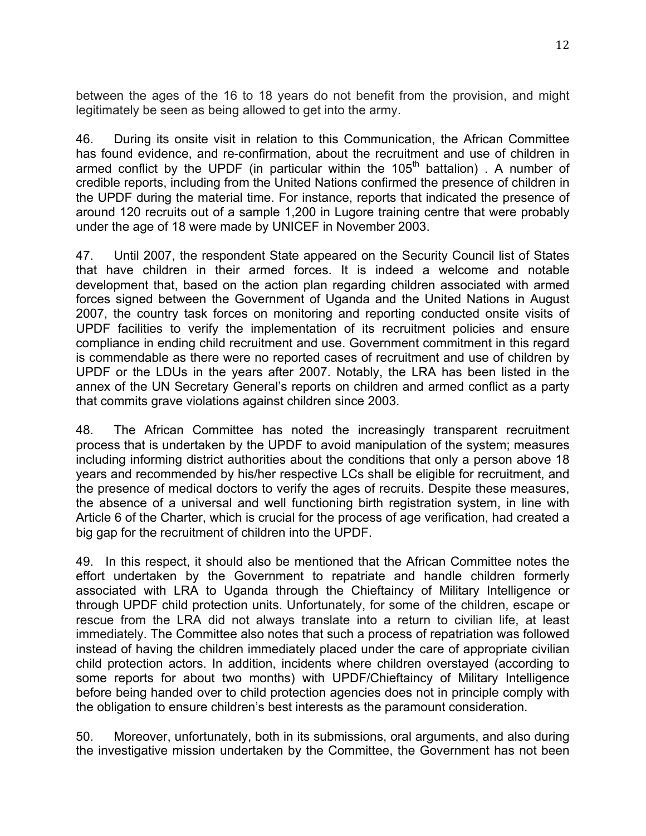between the ages of the 16 to 18 years do not benefit from the provision, and might legitimately be seen as being allowed to get into the army.

46. During its onsite visit in relation to this Communication, the African Committee has found evidence, and re-confirmation, about the recruitment and use of children in armed conflict by the UPDF (in particular within the  $105<sup>th</sup>$  battalion). A number of credible reports, including from the United Nations confirmed the presence of children in the UPDF during the material time. For instance, reports that indicated the presence of around 120 recruits out of a sample 1,200 in Lugore training centre that were probably under the age of 18 were made by UNICEF in November 2003.

47. Until 2007, the respondent State appeared on the Security Council list of States that have children in their armed forces. It is indeed a welcome and notable development that, based on the action plan regarding children associated with armed forces signed between the Government of Uganda and the United Nations in August 2007, the country task forces on monitoring and reporting conducted onsite visits of UPDF facilities to verify the implementation of its recruitment policies and ensure compliance in ending child recruitment and use. Government commitment in this regard is commendable as there were no reported cases of recruitment and use of children by UPDF or the LDUs in the years after 2007. Notably, the LRA has been listed in the annex of the UN Secretary General's reports on children and armed conflict as a party that commits grave violations against children since 2003.

48. The African Committee has noted the increasingly transparent recruitment process that is undertaken by the UPDF to avoid manipulation of the system; measures including informing district authorities about the conditions that only a person above 18 years and recommended by his/her respective LCs shall be eligible for recruitment, and the presence of medical doctors to verify the ages of recruits. Despite these measures, the absence of a universal and well functioning birth registration system, in line with Article 6 of the Charter, which is crucial for the process of age verification, had created a big gap for the recruitment of children into the UPDF.

49. In this respect, it should also be mentioned that the African Committee notes the effort undertaken by the Government to repatriate and handle children formerly associated with LRA to Uganda through the Chieftaincy of Military Intelligence or through UPDF child protection units. Unfortunately, for some of the children, escape or rescue from the LRA did not always translate into a return to civilian life, at least immediately. The Committee also notes that such a process of repatriation was followed instead of having the children immediately placed under the care of appropriate civilian child protection actors. In addition, incidents where children overstayed (according to some reports for about two months) with UPDF/Chieftaincy of Military Intelligence before being handed over to child protection agencies does not in principle comply with the obligation to ensure children's best interests as the paramount consideration.

50. Moreover, unfortunately, both in its submissions, oral arguments, and also during the investigative mission undertaken by the Committee, the Government has not been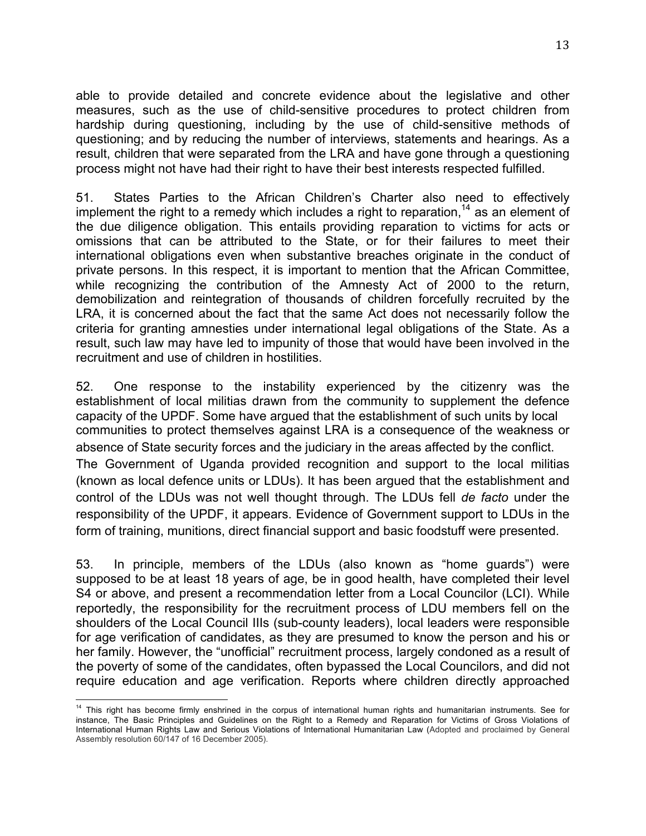able to provide detailed and concrete evidence about the legislative and other measures, such as the use of child-sensitive procedures to protect children from hardship during questioning, including by the use of child-sensitive methods of questioning; and by reducing the number of interviews, statements and hearings. As a result, children that were separated from the LRA and have gone through a questioning process might not have had their right to have their best interests respected fulfilled.

51. States Parties to the African Children's Charter also need to effectively implement the right to a remedy which includes a right to reparation,<sup>14</sup> as an element of the due diligence obligation. This entails providing reparation to victims for acts or omissions that can be attributed to the State, or for their failures to meet their international obligations even when substantive breaches originate in the conduct of private persons. In this respect, it is important to mention that the African Committee, while recognizing the contribution of the Amnesty Act of 2000 to the return, demobilization and reintegration of thousands of children forcefully recruited by the LRA, it is concerned about the fact that the same Act does not necessarily follow the criteria for granting amnesties under international legal obligations of the State. As a result, such law may have led to impunity of those that would have been involved in the recruitment and use of children in hostilities.

52. One response to the instability experienced by the citizenry was the establishment of local militias drawn from the community to supplement the defence capacity of the UPDF. Some have argued that the establishment of such units by local communities to protect themselves against LRA is a consequence of the weakness or absence of State security forces and the judiciary in the areas affected by the conflict. The Government of Uganda provided recognition and support to the local militias (known as local defence units or LDUs). It has been argued that the establishment and control of the LDUs was not well thought through. The LDUs fell *de facto* under the responsibility of the UPDF, it appears. Evidence of Government support to LDUs in the form of training, munitions, direct financial support and basic foodstuff were presented.

53. In principle, members of the LDUs (also known as "home guards") were supposed to be at least 18 years of age, be in good health, have completed their level S4 or above, and present a recommendation letter from a Local Councilor (LCI). While reportedly, the responsibility for the recruitment process of LDU members fell on the shoulders of the Local Council IIIs (sub-county leaders), local leaders were responsible for age verification of candidates, as they are presumed to know the person and his or her family. However, the "unofficial" recruitment process, largely condoned as a result of the poverty of some of the candidates, often bypassed the Local Councilors, and did not require education and age verification. Reports where children directly approached

<sup>&</sup>lt;sup>14</sup> This right has become firmly enshrined in the corpus of international human rights and humanitarian instruments. See for instance, The Basic Principles and Guidelines on the Right to a Remedy and Reparation for Victims of Gross Violations of International Human Rights Law and Serious Violations of International Humanitarian Law (Adopted and proclaimed by General Assembly resolution 60/147 of 16 December 2005).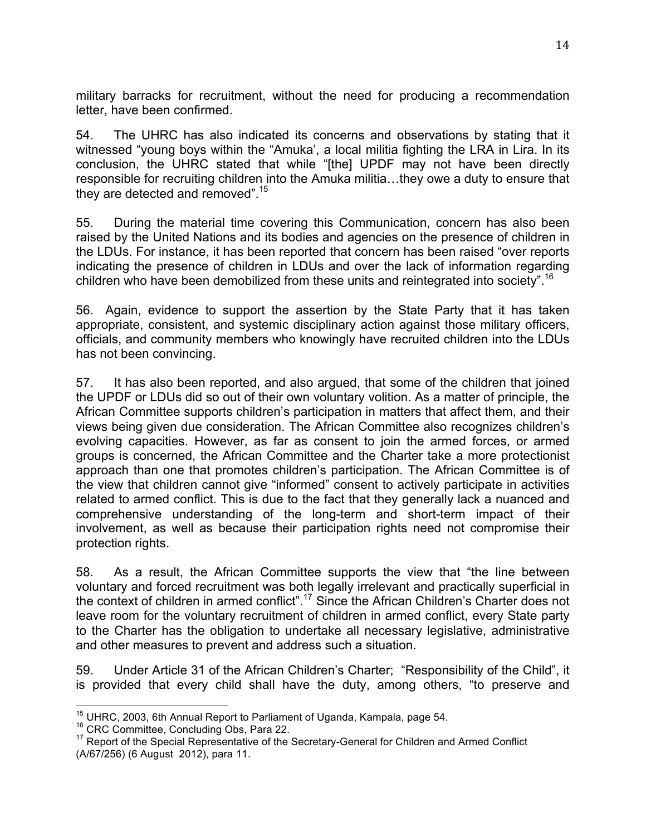military barracks for recruitment, without the need for producing a recommendation letter, have been confirmed.

54. The UHRC has also indicated its concerns and observations by stating that it witnessed "young boys within the "Amuka', a local militia fighting the LRA in Lira. In its conclusion, the UHRC stated that while "[the] UPDF may not have been directly responsible for recruiting children into the Amuka militia…they owe a duty to ensure that they are detected and removed".<sup>15</sup>

55. During the material time covering this Communication, concern has also been raised by the United Nations and its bodies and agencies on the presence of children in the LDUs. For instance, it has been reported that concern has been raised "over reports indicating the presence of children in LDUs and over the lack of information regarding children who have been demobilized from these units and reintegrated into society".<sup>16</sup>

56. Again, evidence to support the assertion by the State Party that it has taken appropriate, consistent, and systemic disciplinary action against those military officers, officials, and community members who knowingly have recruited children into the LDUs has not been convincing.

57. It has also been reported, and also argued, that some of the children that joined the UPDF or LDUs did so out of their own voluntary volition. As a matter of principle, the African Committee supports children's participation in matters that affect them, and their views being given due consideration. The African Committee also recognizes children's evolving capacities. However, as far as consent to join the armed forces, or armed groups is concerned, the African Committee and the Charter take a more protectionist approach than one that promotes children's participation. The African Committee is of the view that children cannot give "informed" consent to actively participate in activities related to armed conflict. This is due to the fact that they generally lack a nuanced and comprehensive understanding of the long-term and short-term impact of their involvement, as well as because their participation rights need not compromise their protection rights.

58. As a result, the African Committee supports the view that "the line between voluntary and forced recruitment was both legally irrelevant and practically superficial in the context of children in armed conflict".<sup>17</sup> Since the African Children's Charter does not leave room for the voluntary recruitment of children in armed conflict, every State party to the Charter has the obligation to undertake all necessary legislative, administrative and other measures to prevent and address such a situation.

59. Under Article 31 of the African Children's Charter; "Responsibility of the Child", it is provided that every child shall have the duty, among others, "to preserve and

<sup>&</sup>lt;sup>15</sup> UHRC, 2003, 6th Annual Report to Parliament of Uganda, Kampala, page 54.<br><sup>16</sup> CRC Committee, Concluding Obs, Para 22. 17 Report of the Secretary-General for Children and Armed Conflict

<sup>(</sup>A/67/256) (6 August 2012), para 11.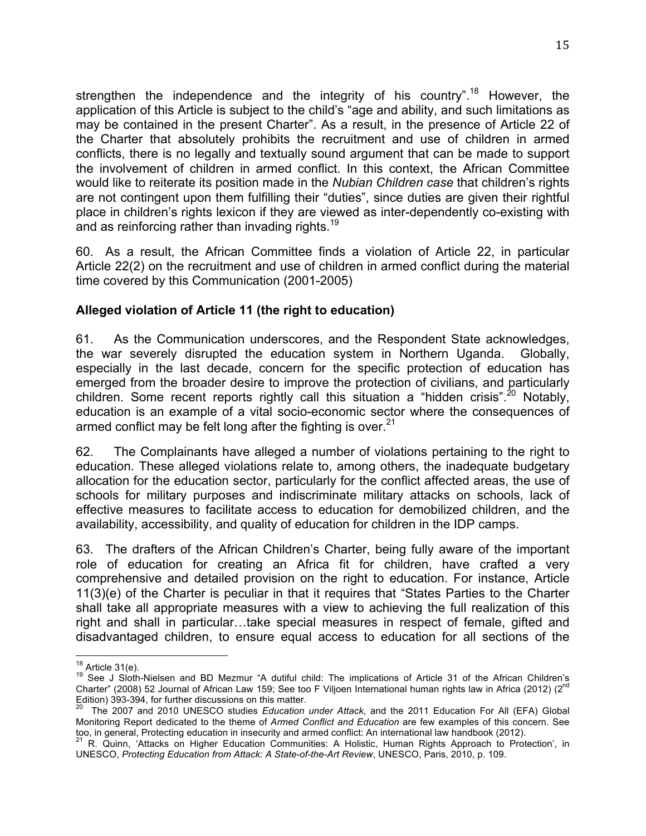strengthen the independence and the integrity of his country".<sup>18</sup> However, the application of this Article is subject to the child's "age and ability, and such limitations as may be contained in the present Charter". As a result, in the presence of Article 22 of the Charter that absolutely prohibits the recruitment and use of children in armed conflicts, there is no legally and textually sound argument that can be made to support the involvement of children in armed conflict. In this context, the African Committee would like to reiterate its position made in the *Nubian Children case* that children's rights are not contingent upon them fulfilling their "duties", since duties are given their rightful place in children's rights lexicon if they are viewed as inter-dependently co-existing with and as reinforcing rather than invading rights.<sup>19</sup>

60. As a result, the African Committee finds a violation of Article 22, in particular Article 22(2) on the recruitment and use of children in armed conflict during the material time covered by this Communication (2001-2005)

## **Alleged violation of Article 11 (the right to education)**

61. As the Communication underscores, and the Respondent State acknowledges, the war severely disrupted the education system in Northern Uganda. Globally, especially in the last decade, concern for the specific protection of education has emerged from the broader desire to improve the protection of civilians, and particularly children. Some recent reports rightly call this situation a "hidden crisis".<sup>20</sup> Notably, education is an example of a vital socio-economic sector where the consequences of armed conflict may be felt long after the fighting is over.  $21$ 

62. The Complainants have alleged a number of violations pertaining to the right to education. These alleged violations relate to, among others, the inadequate budgetary allocation for the education sector, particularly for the conflict affected areas, the use of schools for military purposes and indiscriminate military attacks on schools, lack of effective measures to facilitate access to education for demobilized children, and the availability, accessibility, and quality of education for children in the IDP camps.

63. The drafters of the African Children's Charter, being fully aware of the important role of education for creating an Africa fit for children, have crafted a very comprehensive and detailed provision on the right to education. For instance, Article 11(3)(e) of the Charter is peculiar in that it requires that "States Parties to the Charter shall take all appropriate measures with a view to achieving the full realization of this right and shall in particular…take special measures in respect of female, gifted and disadvantaged children, to ensure equal access to education for all sections of the

<sup>&</sup>lt;sup>18</sup> Article 31(e).<br><sup>19</sup> See J Sloth-Nielsen and BD Mezmur "A dutiful child: The implications of Article 31 of the African Children's Charter" (2008) 52 Journal of African Law 159; See too F Viljoen International human rights law in Africa (2012) (2<sup>nd</sup><br>Edition) 393-394, for further discussions on this matter.<br><sup>20</sup> The 2007 and 2010 UNESCO ptudies Edito

The 2007 and 2010 UNESCO studies *Education under Attack*, and the 2011 Education For All (EFA) Global Monitoring Report dedicated to the theme of *Armed Conflict and Education* are few examples of this concern. See too, in general, Protecting education in insecurity and armed conflict: An international law handbook (2012).<br><sup>21</sup> R. Quinn, 'Attacks on Higher Education Communities: A Holistic, Human Rights Approach to Protection', in

UNESCO, *Protecting Education from Attack: A State-of-the-Art Review*, UNESCO, Paris, 2010, p. 109.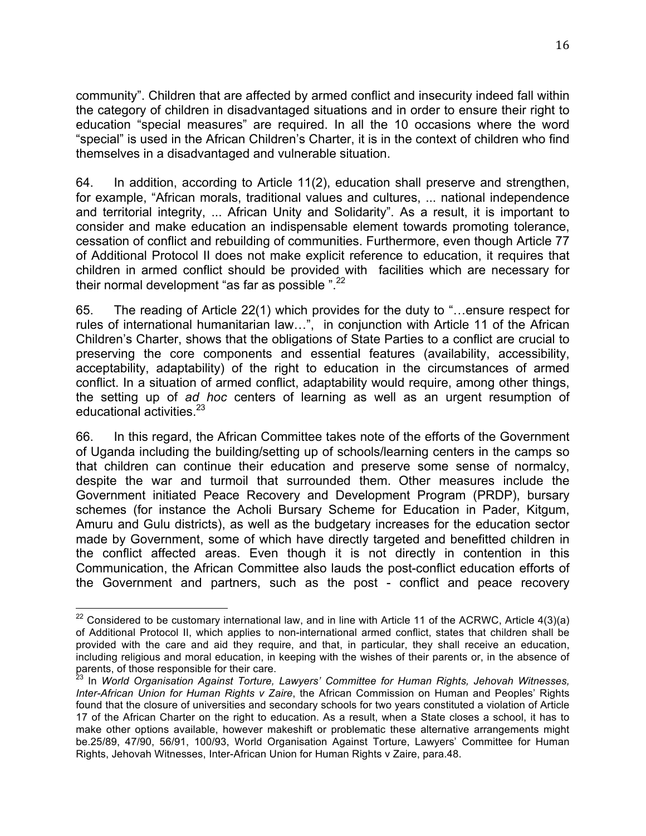community". Children that are affected by armed conflict and insecurity indeed fall within the category of children in disadvantaged situations and in order to ensure their right to education "special measures" are required. In all the 10 occasions where the word "special" is used in the African Children's Charter, it is in the context of children who find themselves in a disadvantaged and vulnerable situation.

64. In addition, according to Article 11(2), education shall preserve and strengthen, for example, "African morals, traditional values and cultures, ... national independence and territorial integrity, ... African Unity and Solidarity". As a result, it is important to consider and make education an indispensable element towards promoting tolerance, cessation of conflict and rebuilding of communities. Furthermore, even though Article 77 of Additional Protocol II does not make explicit reference to education, it requires that children in armed conflict should be provided with facilities which are necessary for their normal development "as far as possible  $"$   $^{22}$ 

65. The reading of Article 22(1) which provides for the duty to "…ensure respect for rules of international humanitarian law…", in conjunction with Article 11 of the African Children's Charter, shows that the obligations of State Parties to a conflict are crucial to preserving the core components and essential features (availability, accessibility, acceptability, adaptability) of the right to education in the circumstances of armed conflict. In a situation of armed conflict, adaptability would require, among other things, the setting up of *ad hoc* centers of learning as well as an urgent resumption of educational activities.<sup>23</sup>

66. In this regard, the African Committee takes note of the efforts of the Government of Uganda including the building/setting up of schools/learning centers in the camps so that children can continue their education and preserve some sense of normalcy, despite the war and turmoil that surrounded them. Other measures include the Government initiated Peace Recovery and Development Program (PRDP), bursary schemes (for instance the Acholi Bursary Scheme for Education in Pader, Kitgum, Amuru and Gulu districts), as well as the budgetary increases for the education sector made by Government, some of which have directly targeted and benefitted children in the conflict affected areas. Even though it is not directly in contention in this Communication, the African Committee also lauds the post-conflict education efforts of the Government and partners, such as the post - conflict and peace recovery

 $22$  Considered to be customary international law, and in line with Article 11 of the ACRWC, Article 4(3)(a) of Additional Protocol II, which applies to non-international armed conflict, states that children shall be provided with the care and aid they require, and that, in particular, they shall receive an education, including religious and moral education, in keeping with the wishes of their parents or, in the absence of parents, of those responsible for their care.

<sup>23</sup> In *World Organisation Against Torture, Lawyers' Committee for Human Rights, Jehovah Witnesses, Inter-African Union for Human Rights v Zaire*, the African Commission on Human and Peoples' Rights found that the closure of universities and secondary schools for two years constituted a violation of Article 17 of the African Charter on the right to education. As a result, when a State closes a school, it has to make other options available, however makeshift or problematic these alternative arrangements might be.25/89, 47/90, 56/91, 100/93, World Organisation Against Torture, Lawyers' Committee for Human Rights, Jehovah Witnesses, Inter-African Union for Human Rights v Zaire, para.48.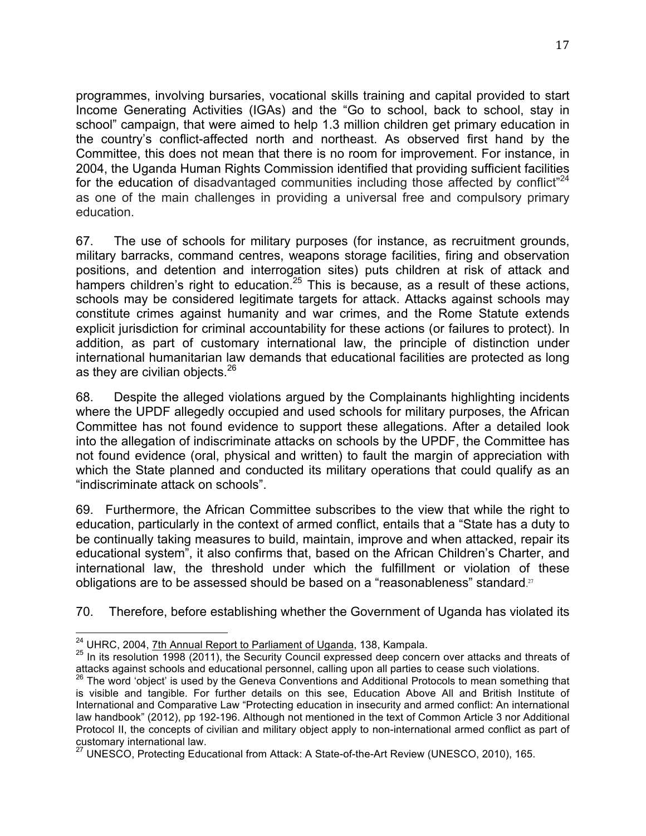programmes, involving bursaries, vocational skills training and capital provided to start Income Generating Activities (IGAs) and the "Go to school, back to school, stay in school" campaign, that were aimed to help 1.3 million children get primary education in the country's conflict-affected north and northeast. As observed first hand by the Committee, this does not mean that there is no room for improvement. For instance, in 2004, the Uganda Human Rights Commission identified that providing sufficient facilities for the education of disadvantaged communities including those affected by conflict<sup> $24$ </sup> as one of the main challenges in providing a universal free and compulsory primary education.

67. The use of schools for military purposes (for instance, as recruitment grounds, military barracks, command centres, weapons storage facilities, firing and observation positions, and detention and interrogation sites) puts children at risk of attack and hampers children's right to education.<sup>25</sup> This is because, as a result of these actions, schools may be considered legitimate targets for attack. Attacks against schools may constitute crimes against humanity and war crimes, and the Rome Statute extends explicit jurisdiction for criminal accountability for these actions (or failures to protect). In addition, as part of customary international law, the principle of distinction under international humanitarian law demands that educational facilities are protected as long as they are civilian objects.<sup>26</sup>

68. Despite the alleged violations argued by the Complainants highlighting incidents where the UPDF allegedly occupied and used schools for military purposes, the African Committee has not found evidence to support these allegations. After a detailed look into the allegation of indiscriminate attacks on schools by the UPDF, the Committee has not found evidence (oral, physical and written) to fault the margin of appreciation with which the State planned and conducted its military operations that could qualify as an "indiscriminate attack on schools".

69. Furthermore, the African Committee subscribes to the view that while the right to education, particularly in the context of armed conflict, entails that a "State has a duty to be continually taking measures to build, maintain, improve and when attacked, repair its educational system", it also confirms that, based on the African Children's Charter, and international law, the threshold under which the fulfillment or violation of these obligations are to be assessed should be based on a "reasonableness" standard.<sup>27</sup>

70. Therefore, before establishing whether the Government of Uganda has violated its

<sup>&</sup>lt;sup>24</sup> UHRC, 2004, *7th Annual Report to Parliament of Uganda*, 138, Kampala.<br><sup>25</sup> In its resolution 1998 (2011), the Security Council expressed deep concern over attacks and threats of attacks against schools and educational personnel, calling upon all parties to cease such violations.

 $26$  The word 'object' is used by the Geneva Conventions and Additional Protocols to mean something that is visible and tangible. For further details on this see, Education Above All and British Institute of International and Comparative Law "Protecting education in insecurity and armed conflict: An international law handbook" (2012), pp 192-196. Although not mentioned in the text of Common Article 3 nor Additional Protocol II, the concepts of civilian and military object apply to non-international armed conflict as part of customary international law.

 $^{27}$  UNESCO, Protecting Educational from Attack: A State-of-the-Art Review (UNESCO, 2010), 165.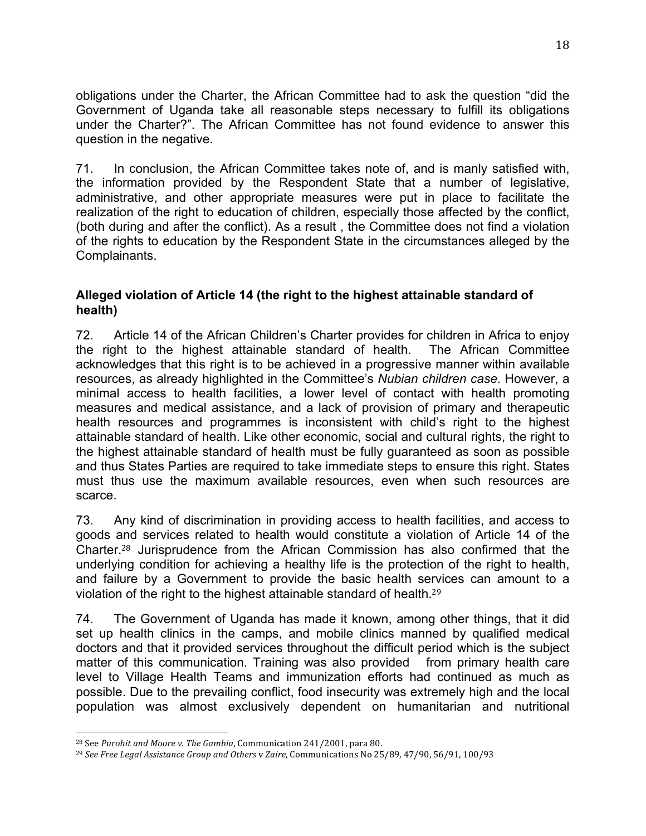obligations under the Charter, the African Committee had to ask the question "did the Government of Uganda take all reasonable steps necessary to fulfill its obligations under the Charter?". The African Committee has not found evidence to answer this question in the negative.

71. In conclusion, the African Committee takes note of, and is manly satisfied with, the information provided by the Respondent State that a number of legislative, administrative, and other appropriate measures were put in place to facilitate the realization of the right to education of children, especially those affected by the conflict, (both during and after the conflict). As a result , the Committee does not find a violation of the rights to education by the Respondent State in the circumstances alleged by the Complainants.

#### **Alleged violation of Article 14 (the right to the highest attainable standard of health)**

72. Article 14 of the African Children's Charter provides for children in Africa to enjoy the right to the highest attainable standard of health. The African Committee acknowledges that this right is to be achieved in a progressive manner within available resources, as already highlighted in the Committee's *Nubian children case*. However, a minimal access to health facilities, a lower level of contact with health promoting measures and medical assistance, and a lack of provision of primary and therapeutic health resources and programmes is inconsistent with child's right to the highest attainable standard of health. Like other economic, social and cultural rights, the right to the highest attainable standard of health must be fully guaranteed as soon as possible and thus States Parties are required to take immediate steps to ensure this right. States must thus use the maximum available resources, even when such resources are scarce.

73. Any kind of discrimination in providing access to health facilities, and access to goods and services related to health would constitute a violation of Article 14 of the Charter.<sup>28</sup> Jurisprudence from the African Commission has also confirmed that the underlying condition for achieving a healthy life is the protection of the right to health, and failure by a Government to provide the basic health services can amount to a violation of the right to the highest attainable standard of health.<sup>29</sup>

74. The Government of Uganda has made it known, among other things, that it did set up health clinics in the camps, and mobile clinics manned by qualified medical doctors and that it provided services throughout the difficult period which is the subject matter of this communication. Training was also provided from primary health care level to Village Health Teams and immunization efforts had continued as much as possible. Due to the prevailing conflict, food insecurity was extremely high and the local population was almost exclusively dependent on humanitarian and nutritional

 

<sup>&</sup>lt;sup>28</sup> See Purohit and Moore v. The Gambia, Communication 241/2001, para 80.

<sup>&</sup>lt;sup>29</sup> See Free Legal Assistance Group and Others v Zaire, Communications No 25/89, 47/90, 56/91, 100/93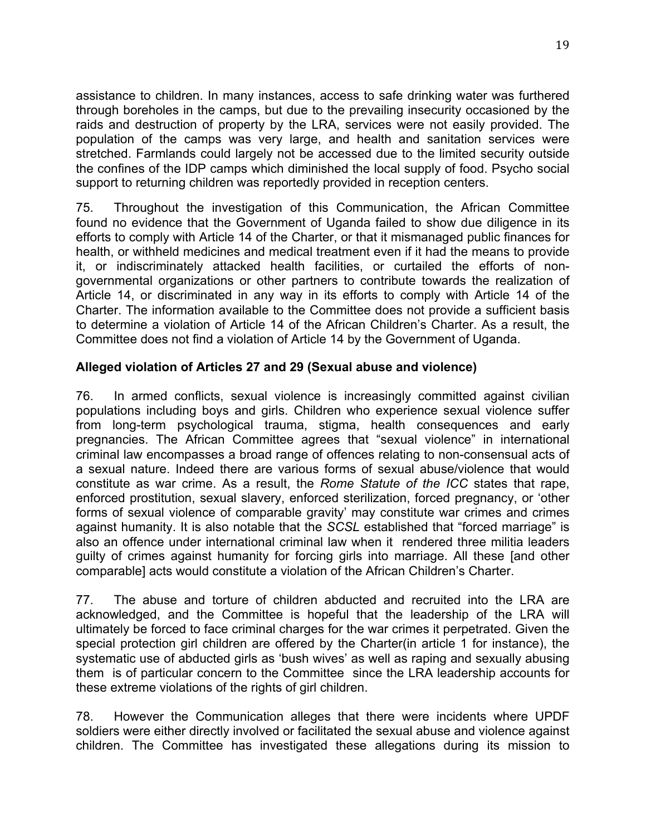assistance to children. In many instances, access to safe drinking water was furthered through boreholes in the camps, but due to the prevailing insecurity occasioned by the raids and destruction of property by the LRA, services were not easily provided. The population of the camps was very large, and health and sanitation services were stretched. Farmlands could largely not be accessed due to the limited security outside the confines of the IDP camps which diminished the local supply of food. Psycho social support to returning children was reportedly provided in reception centers.

75. Throughout the investigation of this Communication, the African Committee found no evidence that the Government of Uganda failed to show due diligence in its efforts to comply with Article 14 of the Charter, or that it mismanaged public finances for health, or withheld medicines and medical treatment even if it had the means to provide it, or indiscriminately attacked health facilities, or curtailed the efforts of nongovernmental organizations or other partners to contribute towards the realization of Article 14, or discriminated in any way in its efforts to comply with Article 14 of the Charter. The information available to the Committee does not provide a sufficient basis to determine a violation of Article 14 of the African Children's Charter. As a result, the Committee does not find a violation of Article 14 by the Government of Uganda.

## **Alleged violation of Articles 27 and 29 (Sexual abuse and violence)**

76. In armed conflicts, sexual violence is increasingly committed against civilian populations including boys and girls. Children who experience sexual violence suffer from long-term psychological trauma, stigma, health consequences and early pregnancies. The African Committee agrees that "sexual violence" in international criminal law encompasses a broad range of offences relating to non-consensual acts of a sexual nature. Indeed there are various forms of sexual abuse/violence that would constitute as war crime. As a result, the *Rome Statute of the ICC* states that rape, enforced prostitution, sexual slavery, enforced sterilization, forced pregnancy, or 'other forms of sexual violence of comparable gravity' may constitute war crimes and crimes against humanity. It is also notable that the *SCSL* established that "forced marriage" is also an offence under international criminal law when it rendered three militia leaders guilty of crimes against humanity for forcing girls into marriage. All these [and other comparable] acts would constitute a violation of the African Children's Charter.

77. The abuse and torture of children abducted and recruited into the LRA are acknowledged, and the Committee is hopeful that the leadership of the LRA will ultimately be forced to face criminal charges for the war crimes it perpetrated. Given the special protection girl children are offered by the Charter(in article 1 for instance), the systematic use of abducted girls as 'bush wives' as well as raping and sexually abusing them is of particular concern to the Committee since the LRA leadership accounts for these extreme violations of the rights of girl children.

78. However the Communication alleges that there were incidents where UPDF soldiers were either directly involved or facilitated the sexual abuse and violence against children. The Committee has investigated these allegations during its mission to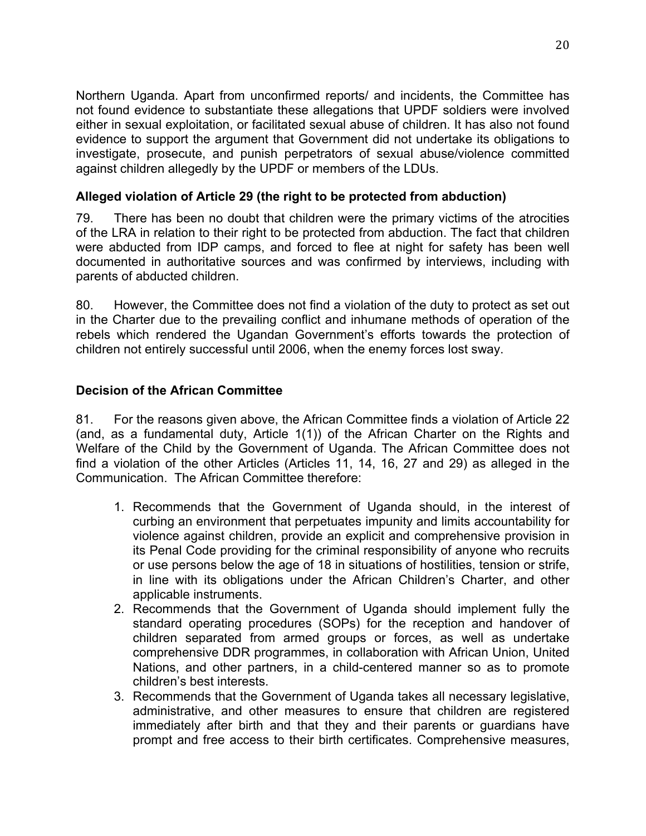Northern Uganda. Apart from unconfirmed reports/ and incidents, the Committee has not found evidence to substantiate these allegations that UPDF soldiers were involved either in sexual exploitation, or facilitated sexual abuse of children. It has also not found evidence to support the argument that Government did not undertake its obligations to investigate, prosecute, and punish perpetrators of sexual abuse/violence committed against children allegedly by the UPDF or members of the LDUs.

## **Alleged violation of Article 29 (the right to be protected from abduction)**

79. There has been no doubt that children were the primary victims of the atrocities of the LRA in relation to their right to be protected from abduction. The fact that children were abducted from IDP camps, and forced to flee at night for safety has been well documented in authoritative sources and was confirmed by interviews, including with parents of abducted children.

80. However, the Committee does not find a violation of the duty to protect as set out in the Charter due to the prevailing conflict and inhumane methods of operation of the rebels which rendered the Ugandan Government's efforts towards the protection of children not entirely successful until 2006, when the enemy forces lost sway.

## **Decision of the African Committee**

81. For the reasons given above, the African Committee finds a violation of Article 22 (and, as a fundamental duty, Article 1(1)) of the African Charter on the Rights and Welfare of the Child by the Government of Uganda. The African Committee does not find a violation of the other Articles (Articles 11, 14, 16, 27 and 29) as alleged in the Communication. The African Committee therefore:

- 1. Recommends that the Government of Uganda should, in the interest of curbing an environment that perpetuates impunity and limits accountability for violence against children, provide an explicit and comprehensive provision in its Penal Code providing for the criminal responsibility of anyone who recruits or use persons below the age of 18 in situations of hostilities, tension or strife, in line with its obligations under the African Children's Charter, and other applicable instruments.
- 2. Recommends that the Government of Uganda should implement fully the standard operating procedures (SOPs) for the reception and handover of children separated from armed groups or forces, as well as undertake comprehensive DDR programmes, in collaboration with African Union, United Nations, and other partners, in a child-centered manner so as to promote children's best interests.
- 3. Recommends that the Government of Uganda takes all necessary legislative, administrative, and other measures to ensure that children are registered immediately after birth and that they and their parents or guardians have prompt and free access to their birth certificates. Comprehensive measures,